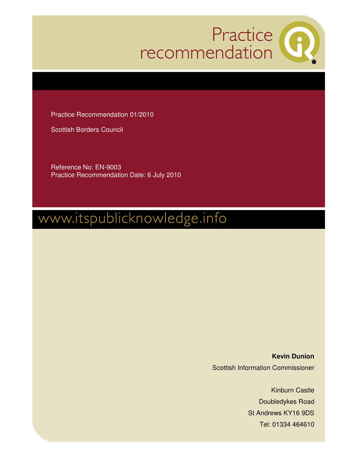

Practice Recommendation 01/2010

Scottish Borders Council

Reference No: EN-9003 Practice Recommendation Date: 6 July 2010

# www.itspublicknowledge.info

**Kevin Dunion**  Scottish Information Commissioner

> Kinburn Castle Doubledykes Road St Andrews KY16 9DS Tel: 01334 464610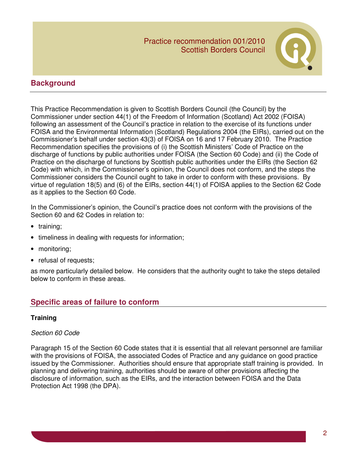

# **Background**

This Practice Recommendation is given to Scottish Borders Council (the Council) by the Commissioner under section 44(1) of the Freedom of Information (Scotland) Act 2002 (FOISA) following an assessment of the Council's practice in relation to the exercise of its functions under FOISA and the Environmental Information (Scotland) Regulations 2004 (the EIRs), carried out on the Commissioner's behalf under section 43(3) of FOISA on 16 and 17 February 2010. The Practice Recommendation specifies the provisions of (i) the Scottish Ministers' Code of Practice on the discharge of functions by public authorities under FOISA (the Section 60 Code) and (ii) the Code of Practice on the discharge of functions by Scottish public authorities under the EIRs (the Section 62 Code) with which, in the Commissioner's opinion, the Council does not conform, and the steps the Commissioner considers the Council ought to take in order to conform with these provisions. By virtue of regulation 18(5) and (6) of the EIRs, section 44(1) of FOISA applies to the Section 62 Code as it applies to the Section 60 Code.

In the Commissioner's opinion, the Council's practice does not conform with the provisions of the Section 60 and 62 Codes in relation to:

- training;
- timeliness in dealing with requests for information;
- monitoring;
- refusal of requests;

as more particularly detailed below. He considers that the authority ought to take the steps detailed below to conform in these areas.

# **Specific areas of failure to conform**

#### **Training**

#### Section 60 Code

Paragraph 15 of the Section 60 Code states that it is essential that all relevant personnel are familiar with the provisions of FOISA, the associated Codes of Practice and any guidance on good practice issued by the Commissioner. Authorities should ensure that appropriate staff training is provided. In planning and delivering training, authorities should be aware of other provisions affecting the disclosure of information, such as the EIRs, and the interaction between FOISA and the Data Protection Act 1998 (the DPA).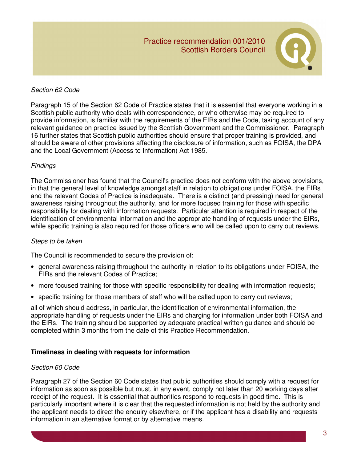

# Section 62 Code

Paragraph 15 of the Section 62 Code of Practice states that it is essential that everyone working in a Scottish public authority who deals with correspondence, or who otherwise may be required to provide information, is familiar with the requirements of the EIRs and the Code, taking account of any relevant guidance on practice issued by the Scottish Government and the Commissioner. Paragraph 16 further states that Scottish public authorities should ensure that proper training is provided, and should be aware of other provisions affecting the disclosure of information, such as FOISA, the DPA and the Local Government (Access to Information) Act 1985.

# **Findings**

The Commissioner has found that the Council's practice does not conform with the above provisions, in that the general level of knowledge amongst staff in relation to obligations under FOISA, the EIRs and the relevant Codes of Practice is inadequate. There is a distinct (and pressing) need for general awareness raising throughout the authority, and for more focused training for those with specific responsibility for dealing with information requests. Particular attention is required in respect of the identification of environmental information and the appropriate handling of requests under the EIRs, while specific training is also required for those officers who will be called upon to carry out reviews.

# Steps to be taken

The Council is recommended to secure the provision of:

- general awareness raising throughout the authority in relation to its obligations under FOISA, the EIRs and the relevant Codes of Practice;
- more focused training for those with specific responsibility for dealing with information requests;
- specific training for those members of staff who will be called upon to carry out reviews;

all of which should address, in particular, the identification of environmental information, the appropriate handling of requests under the EIRs and charging for information under both FOISA and the EIRs. The training should be supported by adequate practical written guidance and should be completed within 3 months from the date of this Practice Recommendation.

# **Timeliness in dealing with requests for information**

# Section 60 Code

Paragraph 27 of the Section 60 Code states that public authorities should comply with a request for information as soon as possible but must, in any event, comply not later than 20 working days after receipt of the request. It is essential that authorities respond to requests in good time. This is particularly important where it is clear that the requested information is not held by the authority and the applicant needs to direct the enquiry elsewhere, or if the applicant has a disability and requests information in an alternative format or by alternative means.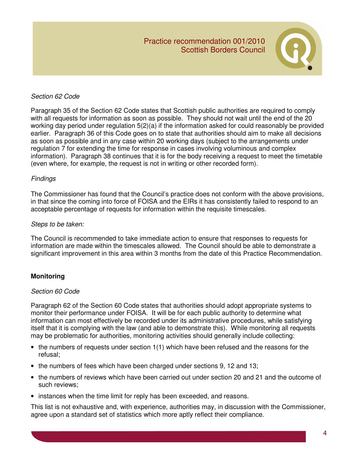

## Section 62 Code

Paragraph 35 of the Section 62 Code states that Scottish public authorities are required to comply with all requests for information as soon as possible. They should not wait until the end of the 20 working day period under regulation 5(2)(a) if the information asked for could reasonably be provided earlier. Paragraph 36 of this Code goes on to state that authorities should aim to make all decisions as soon as possible and in any case within 20 working days (subject to the arrangements under regulation 7 for extending the time for response in cases involving voluminous and complex information). Paragraph 38 continues that it is for the body receiving a request to meet the timetable (even where, for example, the request is not in writing or other recorded form).

#### Findings

The Commissioner has found that the Council's practice does not conform with the above provisions, in that since the coming into force of FOISA and the EIRs it has consistently failed to respond to an acceptable percentage of requests for information within the requisite timescales.

#### Steps to be taken:

The Council is recommended to take immediate action to ensure that responses to requests for information are made within the timescales allowed. The Council should be able to demonstrate a significant improvement in this area within 3 months from the date of this Practice Recommendation.

# **Monitoring**

#### Section 60 Code

Paragraph 62 of the Section 60 Code states that authorities should adopt appropriate systems to monitor their performance under FOISA. It will be for each public authority to determine what information can most effectively be recorded under its administrative procedures, while satisfying itself that it is complying with the law (and able to demonstrate this). While monitoring all requests may be problematic for authorities, monitoring activities should generally include collecting:

- the numbers of requests under section 1(1) which have been refused and the reasons for the refusal;
- the numbers of fees which have been charged under sections 9, 12 and 13;
- the numbers of reviews which have been carried out under section 20 and 21 and the outcome of such reviews;
- instances when the time limit for reply has been exceeded, and reasons.

This list is not exhaustive and, with experience, authorities may, in discussion with the Commissioner, agree upon a standard set of statistics which more aptly reflect their compliance.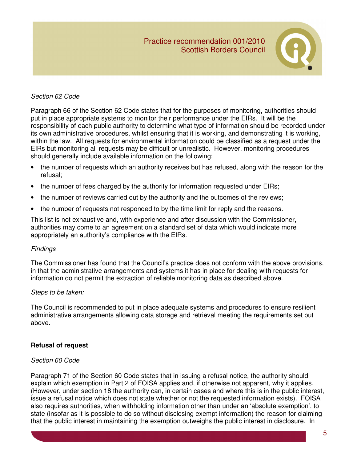

## Section 62 Code

Paragraph 66 of the Section 62 Code states that for the purposes of monitoring, authorities should put in place appropriate systems to monitor their performance under the EIRs. It will be the responsibility of each public authority to determine what type of information should be recorded under its own administrative procedures, whilst ensuring that it is working, and demonstrating it is working, within the law. All requests for environmental information could be classified as a request under the EIRs but monitoring all requests may be difficult or unrealistic. However, monitoring procedures should generally include available information on the following:

- the number of requests which an authority receives but has refused, along with the reason for the refusal;
- the number of fees charged by the authority for information requested under EIRs;
- the number of reviews carried out by the authority and the outcomes of the reviews;
- the number of requests not responded to by the time limit for reply and the reasons.

This list is not exhaustive and, with experience and after discussion with the Commissioner, authorities may come to an agreement on a standard set of data which would indicate more appropriately an authority's compliance with the EIRs.

#### **Findings**

The Commissioner has found that the Council's practice does not conform with the above provisions, in that the administrative arrangements and systems it has in place for dealing with requests for information do not permit the extraction of reliable monitoring data as described above.

#### Steps to be taken:

The Council is recommended to put in place adequate systems and procedures to ensure resilient administrative arrangements allowing data storage and retrieval meeting the requirements set out above.

#### **Refusal of request**

#### Section 60 Code

Paragraph 71 of the Section 60 Code states that in issuing a refusal notice, the authority should explain which exemption in Part 2 of FOISA applies and, if otherwise not apparent, why it applies. (However, under section 18 the authority can, in certain cases and where this is in the public interest, issue a refusal notice which does not state whether or not the requested information exists). FOISA also requires authorities, when withholding information other than under an 'absolute exemption', to state (insofar as it is possible to do so without disclosing exempt information) the reason for claiming that the public interest in maintaining the exemption outweighs the public interest in disclosure. In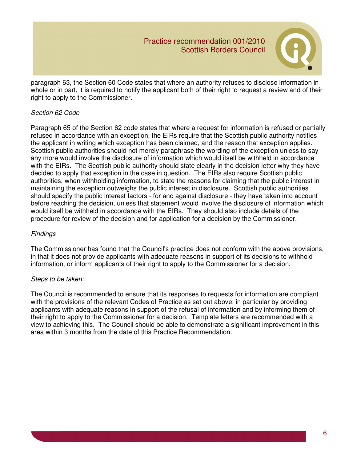

paragraph 63, the Section 60 Code states that where an authority refuses to disclose information in whole or in part, it is required to notify the applicant both of their right to request a review and of their right to apply to the Commissioner.

# Section 62 Code

Paragraph 65 of the Section 62 code states that where a request for information is refused or partially refused in accordance with an exception, the EIRs require that the Scottish public authority notifies the applicant in writing which exception has been claimed, and the reason that exception applies. Scottish public authorities should not merely paraphrase the wording of the exception unless to say any more would involve the disclosure of information which would itself be withheld in accordance with the EIRs. The Scottish public authority should state clearly in the decision letter why they have decided to apply that exception in the case in question. The EIRs also require Scottish public authorities, when withholding information, to state the reasons for claiming that the public interest in maintaining the exception outweighs the public interest in disclosure. Scottish public authorities should specify the public interest factors - for and against disclosure - they have taken into account before reaching the decision, unless that statement would involve the disclosure of information which would itself be withheld in accordance with the EIRs. They should also include details of the procedure for review of the decision and for application for a decision by the Commissioner.

## **Findings**

The Commissioner has found that the Council's practice does not conform with the above provisions, in that it does not provide applicants with adequate reasons in support of its decisions to withhold information, or inform applicants of their right to apply to the Commissioner for a decision.

# Steps to be taken:

The Council is recommended to ensure that its responses to requests for information are compliant with the provisions of the relevant Codes of Practice as set out above, in particular by providing applicants with adequate reasons in support of the refusal of information and by informing them of their right to apply to the Commissioner for a decision. Template letters are recommended with a view to achieving this. The Council should be able to demonstrate a significant improvement in this area within 3 months from the date of this Practice Recommendation.